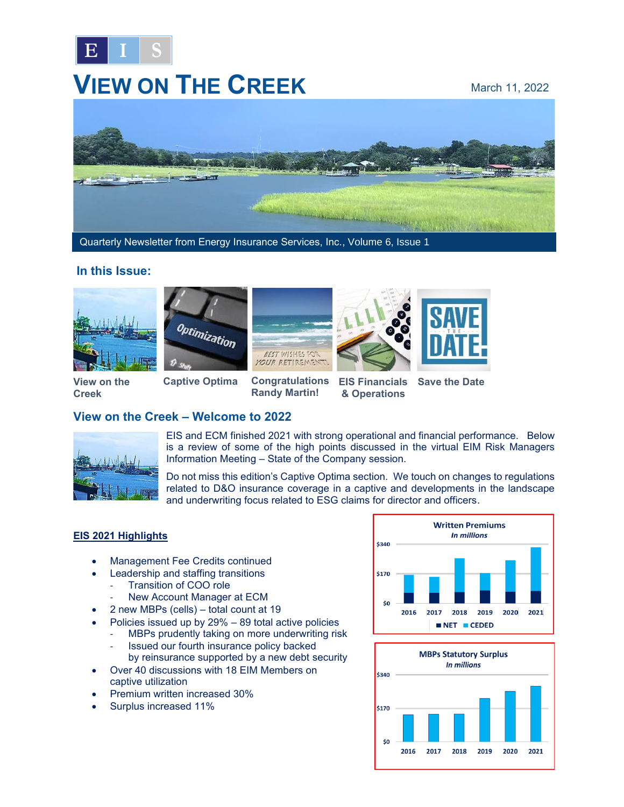

# **VIEW ON THE CREEK** March 11, 2022



Quarterly Newsletter from Energy Insurance Services, Inc., Volume 6, Issue 1

#### **In this Issue:**







**Captive Optima Congratulations EIS Financials** 





**View on the Creek**

## **Randy Martin!**

**Save the Date**



EIS and ECM finished 2021 with strong operational and financial performance. Below is a review of some of the high points discussed in the virtual EIM Risk Managers Information Meeting – State of the Company session.

Do not miss this edition's Captive Optima section. We touch on changes to regulations related to D&O insurance coverage in a captive and developments in the landscape and underwriting focus related to ESG claims for director and officers.

#### **EIS 2021 Highlights**

• Management Fee Credits continued

**View on the Creek – Welcome to 2022**

- Leadership and staffing transitions
	- Transition of COO role
	- New Account Manager at ECM
- 2 new MBPs (cells) total count at 19
- Policies issued up by 29% 89 total active policies
	- MBPs prudently taking on more underwriting risk
	- Issued our fourth insurance policy backed
	- by reinsurance supported by a new debt security
- Over 40 discussions with 18 EIM Members on captive utilization
- Premium written increased 30%
- Surplus increased 11%



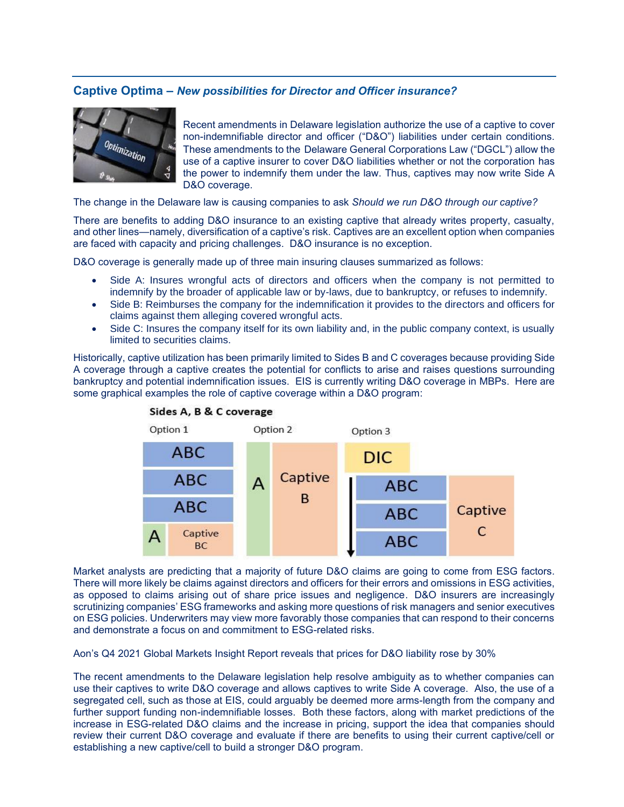#### **Captive Optima –** *New possibilities for Director and Officer insurance?*



Recent amendments in Delaware legislation authorize the use of a captive to cover non-indemnifiable director and officer ("D&O") liabilities under certain conditions. These amendments to the Delaware General Corporations Law ("DGCL") allow the use of a captive insurer to cover D&O liabilities whether or not the corporation has the power to indemnify them under the law. Thus, captives may now write Side A D&O coverage.

The change in the Delaware law is causing companies to ask *Should we run D&O through our captive?*

There are benefits to adding D&O insurance to an existing captive that already writes property, casualty, and other lines—namely, diversification of a captive's risk. Captives are an excellent option when companies are faced with capacity and pricing challenges. D&O insurance is no exception.

D&O coverage is generally made up of three main insuring clauses summarized as follows:

- Side A: Insures wrongful acts of directors and officers when the company is not permitted to indemnify by the broader of applicable law or by-laws, due to bankruptcy, or refuses to indemnify.
- Side B: Reimburses the company for the indemnification it provides to the directors and officers for claims against them alleging covered wrongful acts.
- Side C: Insures the company itself for its own liability and, in the public company context, is usually limited to securities claims.

Historically, captive utilization has been primarily limited to Sides B and C coverages because providing Side A coverage through a captive creates the potential for conflicts to arise and raises questions surrounding bankruptcy and potential indemnification issues. EIS is currently writing D&O coverage in MBPs. Here are some graphical examples the role of captive coverage within a D&O program:





Market analysts are predicting that a majority of future D&O claims are going to come from ESG factors. There will more likely be claims against directors and officers for their errors and omissions in ESG activities, as opposed to claims arising out of share price issues and negligence. D&O insurers are increasingly scrutinizing companies' ESG frameworks and asking more questions of risk managers and senior executives on ESG policies. Underwriters may view more favorably those companies that can respond to their concerns and demonstrate a focus on and commitment to ESG-related risks.

Aon's Q4 2021 Global Markets Insight Report reveals that prices for D&O liability rose by 30%

The recent amendments to the Delaware legislation help resolve ambiguity as to whether companies can use their captives to write D&O coverage and allows captives to write Side A coverage. Also, the use of a segregated cell, such as those at EIS, could arguably be deemed more arms-length from the company and further support funding non-indemnifiable losses. Both these factors, along with market predictions of the increase in ESG-related D&O claims and the increase in pricing, support the idea that companies should review their current D&O coverage and evaluate if there are benefits to using their current captive/cell or establishing a new captive/cell to build a stronger D&O program.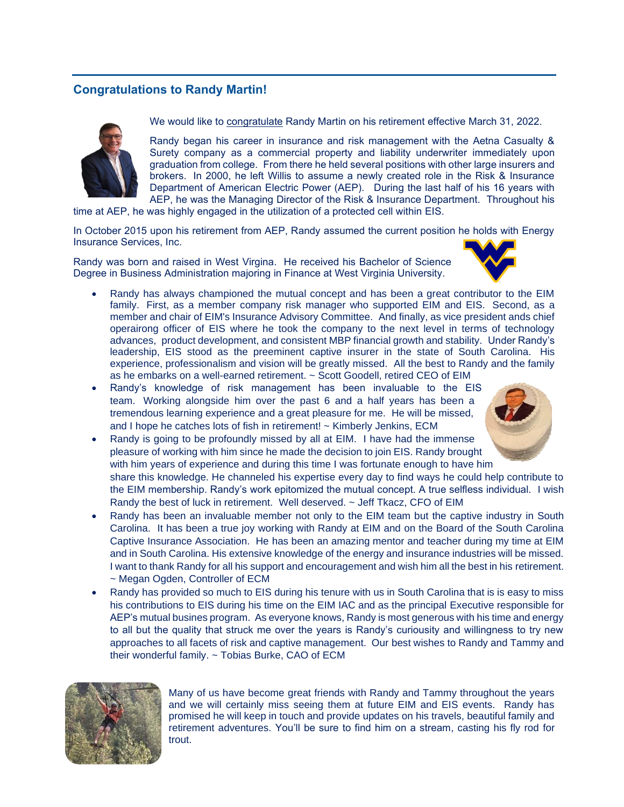### **Congratulations to Randy Martin!**



We would like to congratulate Randy Martin on his retirement effective March 31, 2022.

Randy began his career in insurance and risk management with the Aetna Casualty & Surety company as a commercial property and liability underwriter immediately upon graduation from college. From there he held several positions with other large insurers and brokers. In 2000, he left Willis to assume a newly created role in the Risk & Insurance Department of American Electric Power (AEP). During the last half of his 16 years with AEP, he was the Managing Director of the Risk & Insurance Department. Throughout his

time at AEP, he was highly engaged in the utilization of a protected cell within EIS.

In October 2015 upon his retirement from AEP, Randy assumed the current position he holds with Energy Insurance Services, Inc.

Randy was born and raised in West Virgina. He received his Bachelor of Science Degree in Business Administration majoring in Finance at West Virginia University.



- Randy has always championed the mutual concept and has been a great contributor to the EIM family. First, as a member company risk manager who supported EIM and EIS. Second, as a member and chair of EIM's Insurance Advisory Committee. And finally, as vice president ands chief operairong officer of EIS where he took the company to the next level in terms of technology advances, product development, and consistent MBP financial growth and stability. Under Randy's leadership, EIS stood as the preeminent captive insurer in the state of South Carolina. His experience, professionalism and vision will be greatly missed. All the best to Randy and the family as he embarks on a well-earned retirement. ~ Scott Goodell, retired CEO of EIM
- Randy's knowledge of risk management has been invaluable to the EIS team. Working alongside him over the past 6 and a half years has been a tremendous learning experience and a great pleasure for me. He will be missed, and I hope he catches lots of fish in retirement! ~ Kimberly Jenkins, ECM
- Randy is going to be profoundly missed by all at EIM. I have had the immense pleasure of working with him since he made the decision to join EIS. Randy brought with him years of experience and during this time I was fortunate enough to have him share this knowledge. He channeled his expertise every day to find ways he could help contribute to the EIM membership. Randy's work epitomized the mutual concept. A true selfless individual. I wish Randy the best of luck in retirement. Well deserved. ~ Jeff Tkacz, CFO of EIM
	- Randy has been an invaluable member not only to the EIM team but the captive industry in South Carolina. It has been a true joy working with Randy at EIM and on the Board of the South Carolina Captive Insurance Association. He has been an amazing mentor and teacher during my time at EIM and in South Carolina. His extensive knowledge of the energy and insurance industries will be missed. I want to thank Randy for all his support and encouragement and wish him all the best in his retirement. ~ Megan Ogden, Controller of ECM
	- Randy has provided so much to EIS during his tenure with us in South Carolina that is is easy to miss his contributions to EIS during his time on the EIM IAC and as the principal Executive responsible for AEP's mutual busines program. As everyone knows, Randy is most generous with his time and energy to all but the quality that struck me over the years is Randy's curiousity and willingness to try new approaches to all facets of risk and captive management. Our best wishes to Randy and Tammy and their wonderful family. ~ Tobias Burke, CAO of ECM



Many of us have become great friends with Randy and Tammy throughout the years and we will certainly miss seeing them at future EIM and EIS events. Randy has promised he will keep in touch and provide updates on his travels, beautiful family and retirement adventures. You'll be sure to find him on a stream, casting his fly rod for trout.